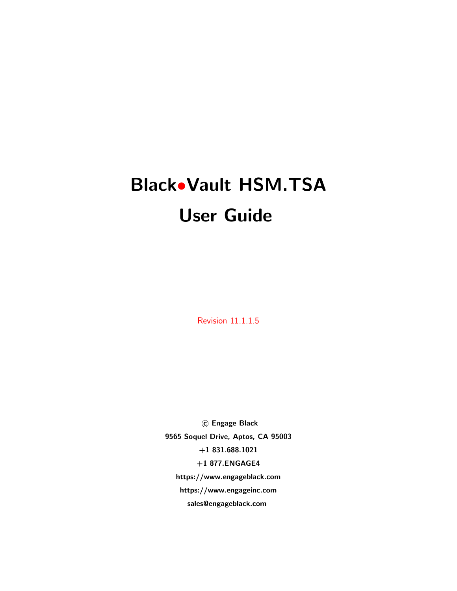# Black•Vault HSM.TSA User Guide

Revision 11.1.1.5

 c Engage Black 9565 Soquel Drive, Aptos, CA 95003 +1 831.688.1021 +1 877.ENGAGE4 https://www.engageblack.com https://www.engageinc.com sales@engageblack.com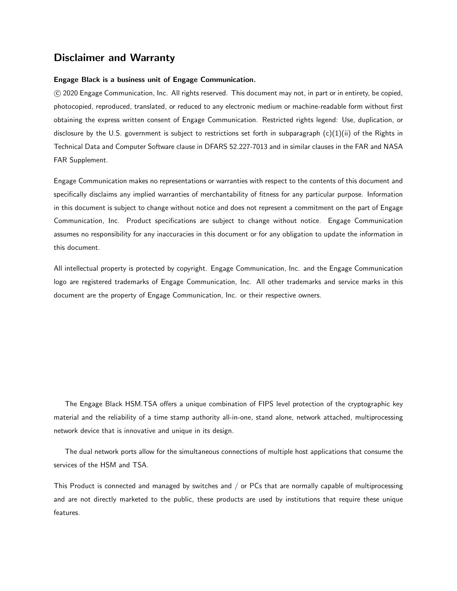## Disclaimer and Warranty

#### Engage Black is a business unit of Engage Communication.

 c 2020 Engage Communication, Inc. All rights reserved. This document may not, in part or in entirety, be copied, photocopied, reproduced, translated, or reduced to any electronic medium or machine-readable form without first obtaining the express written consent of Engage Communication. Restricted rights legend: Use, duplication, or disclosure by the U.S. government is subject to restrictions set forth in subparagraph  $(c)(1)(ii)$  of the Rights in Technical Data and Computer Software clause in DFARS 52.227-7013 and in similar clauses in the FAR and NASA FAR Supplement.

Engage Communication makes no representations or warranties with respect to the contents of this document and specifically disclaims any implied warranties of merchantability of fitness for any particular purpose. Information in this document is subject to change without notice and does not represent a commitment on the part of Engage Communication, Inc. Product specifications are subject to change without notice. Engage Communication assumes no responsibility for any inaccuracies in this document or for any obligation to update the information in this document.

All intellectual property is protected by copyright. Engage Communication, Inc. and the Engage Communication logo are registered trademarks of Engage Communication, Inc. All other trademarks and service marks in this document are the property of Engage Communication, Inc. or their respective owners.

The Engage Black HSM.TSA offers a unique combination of FIPS level protection of the cryptographic key material and the reliability of a time stamp authority all-in-one, stand alone, network attached, multiprocessing network device that is innovative and unique in its design.

The dual network ports allow for the simultaneous connections of multiple host applications that consume the services of the HSM and TSA.

This Product is connected and managed by switches and / or PCs that are normally capable of multiprocessing and are not directly marketed to the public, these products are used by institutions that require these unique features.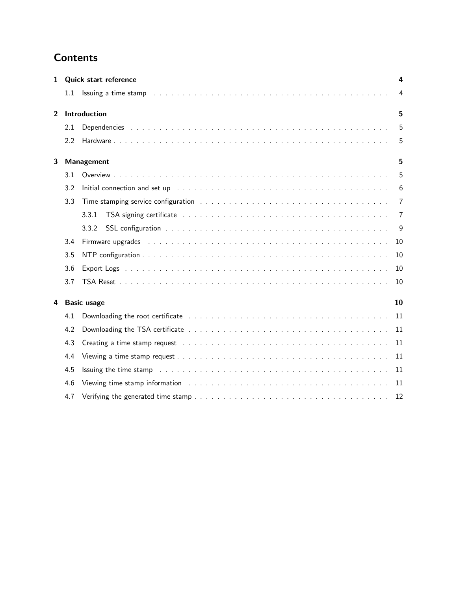# **Contents**

| 1              |                    | <b>Quick start reference</b>                                                                                                                                                                                                   | 4  |
|----------------|--------------------|--------------------------------------------------------------------------------------------------------------------------------------------------------------------------------------------------------------------------------|----|
|                | $1.1\,$            |                                                                                                                                                                                                                                | 4  |
| $\overline{2}$ |                    | Introduction                                                                                                                                                                                                                   | 5  |
|                | 2.1                |                                                                                                                                                                                                                                | 5  |
|                | 22                 |                                                                                                                                                                                                                                | 5  |
| 3              |                    | Management                                                                                                                                                                                                                     | 5  |
|                | 3.1                |                                                                                                                                                                                                                                | 5  |
|                | 3.2                | Initial connection and set up received and set of the contract of the contract of the contract of the contract of the contract of the contract of the contract of the contract of the contract of the contract of the contract | 6  |
|                | 3.3                | Time stamping service configuration with the context of the context of the context of the context of the context of the context of the context of the context of the context of the context of the context of the context of t | 7  |
|                |                    | 3.3.1                                                                                                                                                                                                                          | 7  |
|                |                    | 3.3.2                                                                                                                                                                                                                          | 9  |
|                | 3.4                | Firmware upgrades enterpretent and the contract of the contract of the contract of the contract of the contract of the contract of the contract of the contract of the contract of the contract of the contract of the contrac | 10 |
|                | 3.5                |                                                                                                                                                                                                                                | 10 |
|                | 3.6                |                                                                                                                                                                                                                                | 10 |
|                | 3.7                |                                                                                                                                                                                                                                | 10 |
| 4              | <b>Basic usage</b> |                                                                                                                                                                                                                                | 10 |
|                | 4.1                |                                                                                                                                                                                                                                | 11 |
|                | 4.2                |                                                                                                                                                                                                                                | 11 |
|                | 4.3                |                                                                                                                                                                                                                                | 11 |
|                | 4.4                |                                                                                                                                                                                                                                | 11 |
|                | 4.5                | Issuing the time stamp research and the contract of the contract of the contract of the state of the contract of the contract of the contract of the contract of the contract of the contract of the contract of the contract  | 11 |
|                | 4.6                | Viewing time stamp information education of the contract of the contract of the vertex of the vertex of the vertex of the vertex of the vertex of the vertex of the vertex of the vertex of the vertex of the vertex of the ve | 11 |
|                | 4.7                |                                                                                                                                                                                                                                | 12 |
|                |                    |                                                                                                                                                                                                                                |    |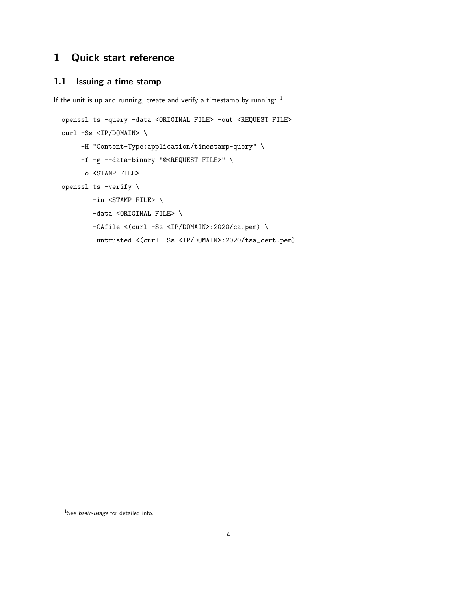# <span id="page-3-0"></span>1 Quick start reference

## <span id="page-3-1"></span>1.1 Issuing a time stamp

If the unit is up and running, create and verify a timestamp by running:  $1$ 

```
openssl ts -query -data <ORIGINAL FILE> -out <REQUEST FILE>
curl -Ss <IP/DOMAIN> \
     -H "Content-Type:application/timestamp-query" \
     -f -g --data-binary "@<REQUEST FILE>" \
     -o <STAMP FILE>
openssl ts -verify \
       -in <STAMP FILE> \
       -data <ORIGINAL FILE> \
       -CAfile <(curl -Ss <IP/DOMAIN>:2020/ca.pem) \
        -untrusted <(curl -Ss <IP/DOMAIN>:2020/tsa_cert.pem)
```
<span id="page-3-2"></span><sup>&</sup>lt;sup>1</sup>See *[basic-usage](#page-9-4)* for detailed info.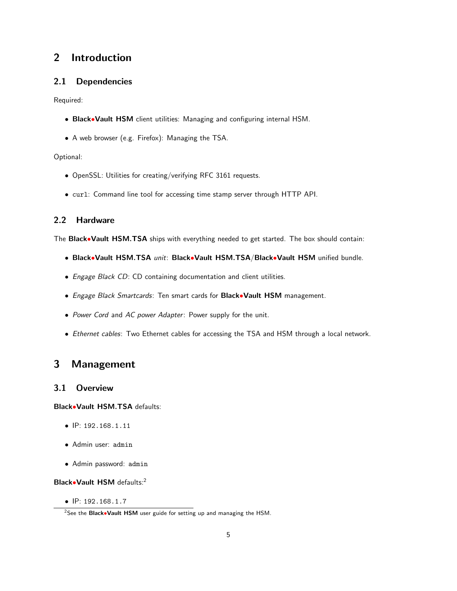## <span id="page-4-0"></span>2 Introduction

## <span id="page-4-1"></span>2.1 Dependencies

Required:

- Black•Vault HSM client utilities: Managing and configuring internal HSM.
- A web browser (e.g. Firefox): Managing the TSA.

## Optional:

- OpenSSL: Utilities for creating/verifying RFC 3161 requests.
- curl: Command line tool for accessing time stamp server through HTTP API.

## <span id="page-4-2"></span>2.2 Hardware

The Black•Vault HSM.TSA ships with everything needed to get started. The box should contain:

- Black•Vault HSM.TSA unit: Black•Vault HSM.TSA/Black•Vault HSM unified bundle.
- Engage Black CD: CD containing documentation and client utilities.
- Engage Black Smartcards: Ten smart cards for Black. Vault HSM management.
- Power Cord and AC power Adapter: Power supply for the unit.
- Ethernet cables: Two Ethernet cables for accessing the TSA and HSM through a local network.

# <span id="page-4-3"></span>3 Management

## <span id="page-4-4"></span>3.1 Overview

Black•Vault HSM.TSA defaults:

- IP: 192.168.1.11
- Admin user: admin
- Admin password: admin

Black•Vault HSM defaults:[2](#page-4-5)

• IP: 192.168.1.7

<span id="page-4-5"></span><sup>&</sup>lt;sup>2</sup>See the Black•Vault HSM user guide for setting up and managing the HSM.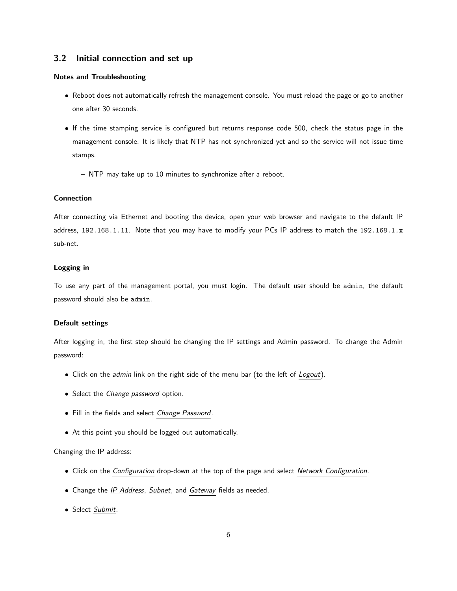## <span id="page-5-0"></span>3.2 Initial connection and set up

#### Notes and Troubleshooting

- Reboot does not automatically refresh the management console. You must reload the page or go to another one after 30 seconds.
- If the time stamping service is configured but returns response code 500, check the status page in the management console. It is likely that NTP has not synchronized yet and so the service will not issue time stamps.
	- NTP may take up to 10 minutes to synchronize after a reboot.

#### Connection

After connecting via Ethernet and booting the device, open your web browser and navigate to the default IP address, 192.168.1.11. Note that you may have to modify your PCs IP address to match the 192.168.1.x sub-net.

#### Logging in

To use any part of the management portal, you must login. The default user should be admin, the default password should also be admin.

#### Default settings

After logging in, the first step should be changing the IP settings and Admin password. To change the Admin password:

- Click on the *admin* link on the right side of the menu bar (to the left of *Logout*).
- Select the Change password option.
- Fill in the fields and select Change Password.
- At this point you should be logged out automatically.

#### Changing the IP address:

- Click on the Configuration drop-down at the top of the page and select Network Configuration.
- Change the *IP Address*, *Subnet*, and *Gateway* fields as needed.
- Select Submit.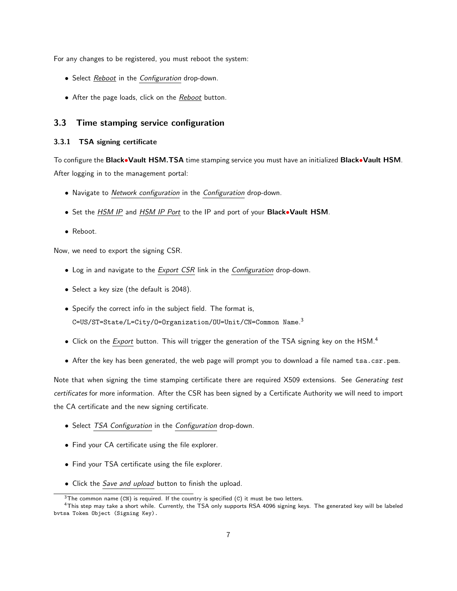For any changes to be registered, you must reboot the system:

- Select Reboot in the Configuration drop-down.
- After the page loads, click on the Reboot button.

#### <span id="page-6-0"></span>3.3 Time stamping service configuration

#### <span id="page-6-1"></span>3.3.1 TSA signing certificate

To configure the Black•Vault HSM.TSA time stamping service you must have an initialized Black•Vault HSM. After logging in to the management portal:

- Navigate to Network configuration in the Configuration drop-down.
- Set the *HSM IP* and *HSM IP Port* to the IP and port of your **Black•Vault HSM**.
- Reboot.

Now, we need to export the signing CSR.

- Log in and navigate to the Export CSR link in the Configuration drop-down.
- Select a key size (the default is 2048).
- Specify the correct info in the subject field. The format is, C=US/ST=State/L=City/O=Organization/OU=Unit/CN=Common Name. [3](#page-6-2)
- Click on the *Export* button. This will trigger the generation of the TSA signing key on the HSM.<sup>[4](#page-6-3)</sup>
- After the key has been generated, the web page will prompt you to download a file named tsa.csr.pem.

Note that when signing the time stamping certificate there are required X509 extensions. See [Generating test](#page-7-0) [certificates](#page-7-0) for more information. After the CSR has been signed by a Certificate Authority we will need to import the CA certificate and the new signing certificate.

- Select TSA Configuration in the Configuration drop-down.
- Find your CA certificate using the file explorer.
- Find your TSA certificate using the file explorer.
- Click the Save and upload button to finish the upload.

<span id="page-6-3"></span><span id="page-6-2"></span> $3$ The common name (CN) is required. If the country is specified (C) it must be two letters.

<sup>4</sup>This step may take a short while. Currently, the TSA only supports RSA 4096 signing keys. The generated key will be labeled bvtsa Token Object (Signing Key).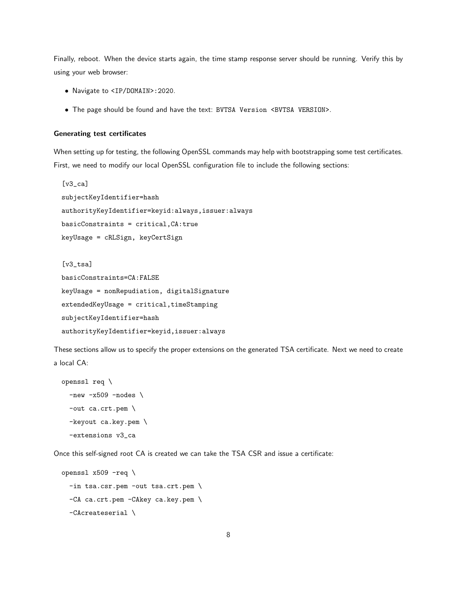Finally, reboot. When the device starts again, the time stamp response server should be running. Verify this by using your web browser:

- Navigate to <IP/DOMAIN>:2020.
- The page should be found and have the text: BVTSA Version <BVTSA VERSION>.

#### <span id="page-7-0"></span>Generating test certificates

When setting up for testing, the following OpenSSL commands may help with bootstrapping some test certificates. First, we need to modify our local OpenSSL configuration file to include the following sections:

```
[v3_ca]
subjectKeyIdentifier=hash
authorityKeyIdentifier=keyid:always,issuer:always
basicConstraints = critical,CA:true
keyUsage = cRLSign, keyCertSign
```

```
[v3_tsa]
basicConstraints=CA:FALSE
keyUsage = nonRepudiation, digitalSignature
extendedKeyUsage = critical,timeStamping
subjectKeyIdentifier=hash
authorityKeyIdentifier=keyid,issuer:always
```
These sections allow us to specify the proper extensions on the generated TSA certificate. Next we need to create a local CA:

```
openssl req \
  -new -x509 -nodes \setminus-out ca.crt.pem \
  -keyout ca.key.pem \
  -extensions v3_ca
```
Once this self-signed root CA is created we can take the TSA CSR and issue a certificate:

```
openssl x509 -req \
 -in tsa.csr.pem -out tsa.crt.pem \
 -CA ca.crt.pem -CAkey ca.key.pem \
  -CAcreateserial \
```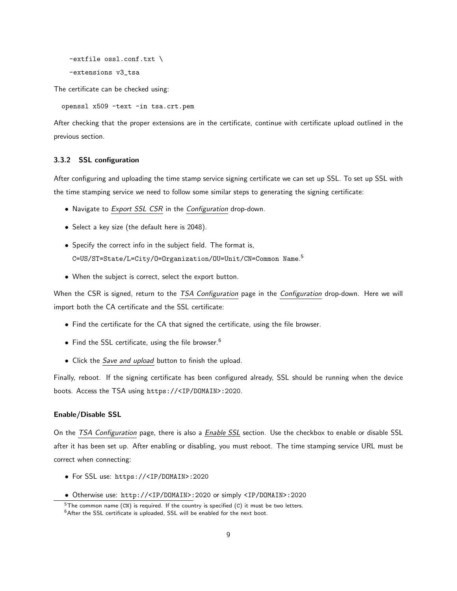```
-extfile ossl.conf.txt \
-extensions v3_tsa
```
The certificate can be checked using:

openssl x509 -text -in tsa.crt.pem

After checking that the proper extensions are in the certificate, continue with certificate upload outlined in the previous section.

#### <span id="page-8-0"></span>3.3.2 SSL configuration

After configuring and uploading the time stamp service signing certificate we can set up SSL. To set up SSL with the time stamping service we need to follow some similar steps to generating the signing certificate:

- Navigate to Export SSL CSR in the Configuration drop-down.
- Select a key size (the default here is 2048).
- Specify the correct info in the subject field. The format is, C=US/ST=State/L=City/O=Organization/OU=Unit/CN=Common Name. [5](#page-8-1)
- When the subject is correct, select the export button.

When the CSR is signed, return to the TSA Configuration page in the Configuration drop-down. Here we will import both the CA certificate and the SSL certificate:

- Find the certificate for the CA that signed the certificate, using the file browser.
- Find the SSL certificate, using the file browser.<sup>[6](#page-8-2)</sup>
- Click the Save and upload button to finish the upload.

Finally, reboot. If the signing certificate has been configured already, SSL should be running when the device boots. Access the TSA using https://<IP/DOMAIN>:2020.

#### Enable/Disable SSL

On the TSA Configuration page, there is also a **Enable SSL** section. Use the checkbox to enable or disable SSL after it has been set up. After enabling or disabling, you must reboot. The time stamping service URL must be correct when connecting:

- For SSL use: https://<IP/DOMAIN>:2020
- Otherwise use: http://<IP/DOMAIN>:2020 or simply <IP/DOMAIN>:2020

<span id="page-8-1"></span> $5$ The common name (CN) is required. If the country is specified (C) it must be two letters.

<span id="page-8-2"></span><sup>&</sup>lt;sup>6</sup>After the SSL certificate is uploaded, SSL will be enabled for the next boot.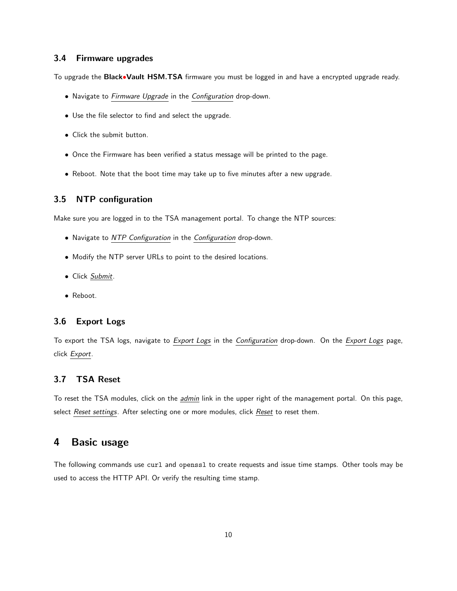## <span id="page-9-0"></span>3.4 Firmware upgrades

To upgrade the Black•Vault HSM.TSA firmware you must be logged in and have a encrypted upgrade ready.

- Navigate to Firmware Upgrade in the Configuration drop-down.
- Use the file selector to find and select the upgrade.
- Click the submit button.
- Once the Firmware has been verified a status message will be printed to the page.
- Reboot. Note that the boot time may take up to five minutes after a new upgrade.

## <span id="page-9-1"></span>3.5 NTP configuration

Make sure you are logged in to the TSA management portal. To change the NTP sources:

- Navigate to NTP Configuration in the Configuration drop-down.
- Modify the NTP server URLs to point to the desired locations.
- Click Submit.
- Reboot.

## <span id="page-9-2"></span>3.6 Export Logs

To export the TSA logs, navigate to Export Logs in the Configuration drop-down. On the Export Logs page, click Export.

## <span id="page-9-3"></span>3.7 TSA Reset

To reset the TSA modules, click on the *admin* link in the upper right of the management portal. On this page, select Reset settings. After selecting one or more modules, click Reset to reset them.

## <span id="page-9-4"></span>4 Basic usage

The following commands use curl and openssl to create requests and issue time stamps. Other tools may be used to access the HTTP API. Or verify the resulting time stamp.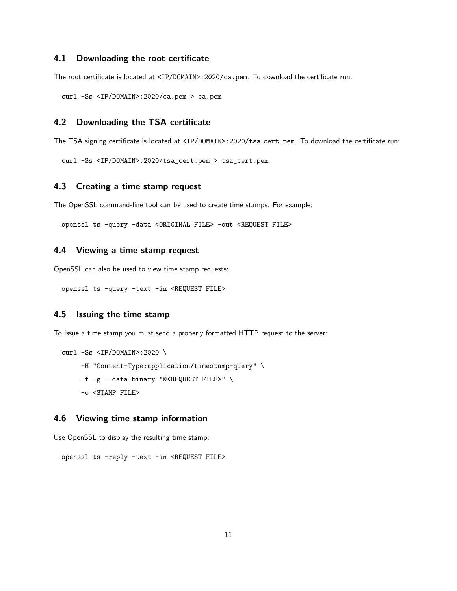## <span id="page-10-0"></span>4.1 Downloading the root certificate

The root certificate is located at <IP/DOMAIN>:2020/ca.pem. To download the certificate run:

curl -Ss <IP/DOMAIN>:2020/ca.pem > ca.pem

## <span id="page-10-1"></span>4.2 Downloading the TSA certificate

The TSA signing certificate is located at <IP/DOMAIN>:2020/tsa\_cert.pem. To download the certificate run:

curl -Ss <IP/DOMAIN>:2020/tsa\_cert.pem > tsa\_cert.pem

## <span id="page-10-2"></span>4.3 Creating a time stamp request

The OpenSSL command-line tool can be used to create time stamps. For example:

openssl ts -query -data <ORIGINAL FILE> -out <REQUEST FILE>

## <span id="page-10-3"></span>4.4 Viewing a time stamp request

OpenSSL can also be used to view time stamp requests:

openssl ts -query -text -in <REQUEST FILE>

#### <span id="page-10-4"></span>4.5 Issuing the time stamp

To issue a time stamp you must send a properly formatted HTTP request to the server:

```
curl -Ss <IP/DOMAIN>:2020 \
     -H "Content-Type:application/timestamp-query" \
     -f -g --data-binary "@<REQUEST FILE>" \
    -o <STAMP FILE>
```
## <span id="page-10-5"></span>4.6 Viewing time stamp information

Use OpenSSL to display the resulting time stamp:

openssl ts -reply -text -in <REQUEST FILE>